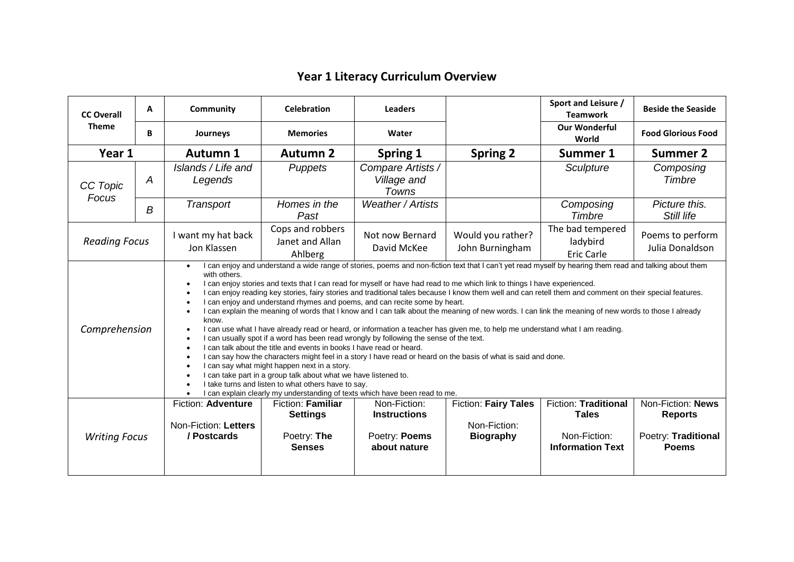## **Year 1 Literacy Curriculum Overview**

| <b>CC Overall</b>    | A                | Community                                                                                                                                                                                                                                                                                                                                                                                                                                                                                                                                                                                                                                                                                                                                                                                                                                                                                                                                                                                                                                                                                                                                                                                                                                                                                                                                                                                                                                                                                                                     | <b>Celebration</b>                                                          | <b>Leaders</b>                                                       |                                                                 | Sport and Leisure /<br><b>Teamwork</b>                                                 | <b>Beside the Seaside</b>                                                  |  |  |
|----------------------|------------------|-------------------------------------------------------------------------------------------------------------------------------------------------------------------------------------------------------------------------------------------------------------------------------------------------------------------------------------------------------------------------------------------------------------------------------------------------------------------------------------------------------------------------------------------------------------------------------------------------------------------------------------------------------------------------------------------------------------------------------------------------------------------------------------------------------------------------------------------------------------------------------------------------------------------------------------------------------------------------------------------------------------------------------------------------------------------------------------------------------------------------------------------------------------------------------------------------------------------------------------------------------------------------------------------------------------------------------------------------------------------------------------------------------------------------------------------------------------------------------------------------------------------------------|-----------------------------------------------------------------------------|----------------------------------------------------------------------|-----------------------------------------------------------------|----------------------------------------------------------------------------------------|----------------------------------------------------------------------------|--|--|
| <b>Theme</b>         | B                | Journeys                                                                                                                                                                                                                                                                                                                                                                                                                                                                                                                                                                                                                                                                                                                                                                                                                                                                                                                                                                                                                                                                                                                                                                                                                                                                                                                                                                                                                                                                                                                      | <b>Memories</b>                                                             | Water                                                                |                                                                 | <b>Our Wonderful</b><br>World                                                          | <b>Food Glorious Food</b>                                                  |  |  |
| Year 1               |                  | <b>Autumn 1</b>                                                                                                                                                                                                                                                                                                                                                                                                                                                                                                                                                                                                                                                                                                                                                                                                                                                                                                                                                                                                                                                                                                                                                                                                                                                                                                                                                                                                                                                                                                               | <b>Autumn 2</b>                                                             | Spring 1                                                             | <b>Spring 2</b>                                                 | Summer 1                                                                               | <b>Summer 2</b>                                                            |  |  |
| CC Topic<br>Focus    | A                | Islands / Life and<br>Legends                                                                                                                                                                                                                                                                                                                                                                                                                                                                                                                                                                                                                                                                                                                                                                                                                                                                                                                                                                                                                                                                                                                                                                                                                                                                                                                                                                                                                                                                                                 | Puppets                                                                     | Compare Artists /<br>Village and<br>Towns                            |                                                                 | Sculpture                                                                              | Composing<br>Timbre                                                        |  |  |
|                      | $\boldsymbol{B}$ | Transport                                                                                                                                                                                                                                                                                                                                                                                                                                                                                                                                                                                                                                                                                                                                                                                                                                                                                                                                                                                                                                                                                                                                                                                                                                                                                                                                                                                                                                                                                                                     | Homes in the<br>Past                                                        | <b>Weather / Artists</b>                                             |                                                                 | Composing<br>Timbre                                                                    | Picture this.<br>Still life                                                |  |  |
| <b>Reading Focus</b> |                  | I want my hat back<br>Jon Klassen                                                                                                                                                                                                                                                                                                                                                                                                                                                                                                                                                                                                                                                                                                                                                                                                                                                                                                                                                                                                                                                                                                                                                                                                                                                                                                                                                                                                                                                                                             | Cops and robbers<br>Janet and Allan<br>Ahlberg                              | Not now Bernard<br>David McKee                                       | Would you rather?<br>John Burningham                            | The bad tempered<br>ladybird<br><b>Eric Carle</b>                                      | Poems to perform<br>Julia Donaldson                                        |  |  |
| Comprehension        |                  | I can enjoy and understand a wide range of stories, poems and non-fiction text that I can't yet read myself by hearing them read and talking about them<br>$\bullet$<br>with others.<br>I can enjoy stories and texts that I can read for myself or have had read to me which link to things I have experienced.<br>$\bullet$<br>I can enjoy reading key stories, fairy stories and traditional tales because I know them well and can retell them and comment on their special features.<br>$\bullet$<br>I can enjoy and understand rhymes and poems, and can recite some by heart.<br>$\bullet$<br>I can explain the meaning of words that I know and I can talk about the meaning of new words. I can link the meaning of new words to those I already<br>$\bullet$<br>know.<br>I can use what I have already read or heard, or information a teacher has given me, to help me understand what I am reading.<br>$\bullet$<br>I can usually spot if a word has been read wrongly by following the sense of the text.<br>$\bullet$<br>I can talk about the title and events in books I have read or heard.<br>$\bullet$<br>I can say how the characters might feel in a story I have read or heard on the basis of what is said and done.<br>$\bullet$<br>I can say what might happen next in a story.<br>$\bullet$<br>I can take part in a group talk about what we have listened to.<br>I take turns and listen to what others have to say.<br>I can explain clearly my understanding of texts which have been read to me. |                                                                             |                                                                      |                                                                 |                                                                                        |                                                                            |  |  |
| <b>Writing Focus</b> |                  | <b>Fiction: Adventure</b><br>Non-Fiction: Letters<br>/ Postcards                                                                                                                                                                                                                                                                                                                                                                                                                                                                                                                                                                                                                                                                                                                                                                                                                                                                                                                                                                                                                                                                                                                                                                                                                                                                                                                                                                                                                                                              | <b>Fiction: Familiar</b><br><b>Settings</b><br>Poetry: The<br><b>Senses</b> | Non-Fiction:<br><b>Instructions</b><br>Poetry: Poems<br>about nature | <b>Fiction: Fairy Tales</b><br>Non-Fiction:<br><b>Biography</b> | <b>Fiction: Traditional</b><br><b>Tales</b><br>Non-Fiction:<br><b>Information Text</b> | Non-Fiction: News<br><b>Reports</b><br>Poetry: Traditional<br><b>Poems</b> |  |  |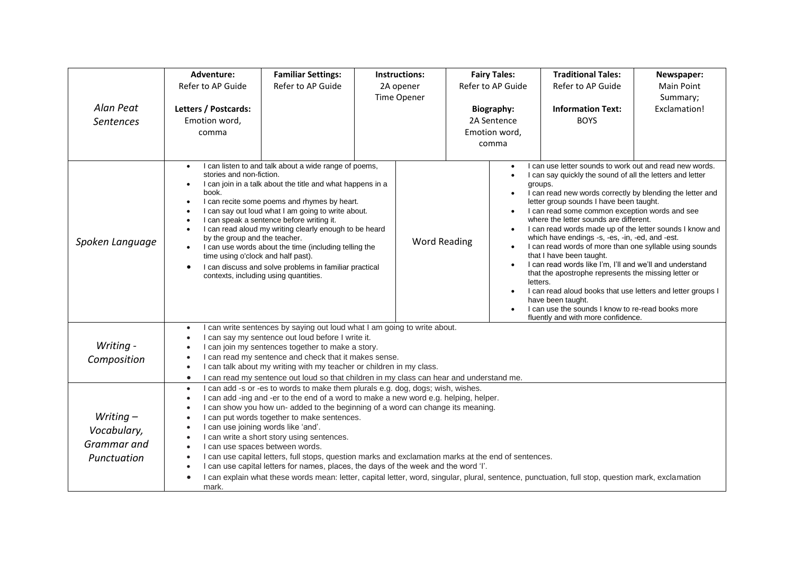|                                                          | Adventure:                                                                                                                                                                                                                                                                                                                                                                                                                                                                                                                                                                                                                                                                                                                                                                                                                            | <b>Familiar Settings:</b>                                                                                                                                                                                                                                                                                                                                                                                                                                                                                                                                           |                          | <b>Instructions:</b> |                                                            | <b>Fairy Tales:</b>                                                                                                                                                                                                                                                                                                                                                                                                                                                                                                                                                                                                                                                                                                                                                                                                                                                                                                                                              | <b>Traditional Tales:</b>               | Newspaper:             |
|----------------------------------------------------------|---------------------------------------------------------------------------------------------------------------------------------------------------------------------------------------------------------------------------------------------------------------------------------------------------------------------------------------------------------------------------------------------------------------------------------------------------------------------------------------------------------------------------------------------------------------------------------------------------------------------------------------------------------------------------------------------------------------------------------------------------------------------------------------------------------------------------------------|---------------------------------------------------------------------------------------------------------------------------------------------------------------------------------------------------------------------------------------------------------------------------------------------------------------------------------------------------------------------------------------------------------------------------------------------------------------------------------------------------------------------------------------------------------------------|--------------------------|----------------------|------------------------------------------------------------|------------------------------------------------------------------------------------------------------------------------------------------------------------------------------------------------------------------------------------------------------------------------------------------------------------------------------------------------------------------------------------------------------------------------------------------------------------------------------------------------------------------------------------------------------------------------------------------------------------------------------------------------------------------------------------------------------------------------------------------------------------------------------------------------------------------------------------------------------------------------------------------------------------------------------------------------------------------|-----------------------------------------|------------------------|
|                                                          | Refer to AP Guide                                                                                                                                                                                                                                                                                                                                                                                                                                                                                                                                                                                                                                                                                                                                                                                                                     | Refer to AP Guide                                                                                                                                                                                                                                                                                                                                                                                                                                                                                                                                                   | 2A opener<br>Time Opener |                      | Refer to AP Guide                                          |                                                                                                                                                                                                                                                                                                                                                                                                                                                                                                                                                                                                                                                                                                                                                                                                                                                                                                                                                                  | Refer to AP Guide                       | Main Point<br>Summary; |
| Alan Peat<br><b>Sentences</b>                            | Letters / Postcards:<br>Emotion word,<br>comma                                                                                                                                                                                                                                                                                                                                                                                                                                                                                                                                                                                                                                                                                                                                                                                        |                                                                                                                                                                                                                                                                                                                                                                                                                                                                                                                                                                     |                          |                      | <b>Biography:</b><br>2A Sentence<br>Emotion word,<br>comma |                                                                                                                                                                                                                                                                                                                                                                                                                                                                                                                                                                                                                                                                                                                                                                                                                                                                                                                                                                  | <b>Information Text:</b><br><b>BOYS</b> | Exclamation!           |
| Spoken Language                                          | stories and non-fiction.<br>$\bullet$<br>book.<br>$\bullet$<br>$\bullet$<br>$\bullet$<br>$\bullet$                                                                                                                                                                                                                                                                                                                                                                                                                                                                                                                                                                                                                                                                                                                                    | I can listen to and talk about a wide range of poems,<br>I can join in a talk about the title and what happens in a<br>I can recite some poems and rhymes by heart.<br>I can say out loud what I am going to write about.<br>I can speak a sentence before writing it.<br>I can read aloud my writing clearly enough to be heard<br>by the group and the teacher.<br>I can use words about the time (including telling the<br>time using o'clock and half past).<br>I can discuss and solve problems in familiar practical<br>contexts, including using quantities. |                          | <b>Word Reading</b>  |                                                            | I can use letter sounds to work out and read new words.<br>$\bullet$<br>I can say quickly the sound of all the letters and letter<br>$\bullet$<br>groups.<br>I can read new words correctly by blending the letter and<br>$\bullet$<br>letter group sounds I have been taught.<br>I can read some common exception words and see<br>$\bullet$<br>where the letter sounds are different.<br>I can read words made up of the letter sounds I know and<br>$\bullet$<br>which have endings -s, -es, -in, -ed, and -est.<br>I can read words of more than one syllable using sounds<br>$\bullet$<br>that I have been taught.<br>I can read words like I'm, I'll and we'll and understand<br>$\bullet$<br>that the apostrophe represents the missing letter or<br>letters.<br>I can read aloud books that use letters and letter groups I<br>$\bullet$<br>have been taught.<br>I can use the sounds I know to re-read books more<br>fluently and with more confidence. |                                         |                        |
| Writing -<br>Composition                                 | I can write sentences by saying out loud what I am going to write about.<br>$\bullet$<br>I can say my sentence out loud before I write it.<br>I can join my sentences together to make a story.<br>$\bullet$<br>I can read my sentence and check that it makes sense.<br>I can talk about my writing with my teacher or children in my class.<br>$\bullet$<br>I can read my sentence out loud so that children in my class can hear and understand me.<br>$\bullet$                                                                                                                                                                                                                                                                                                                                                                   |                                                                                                                                                                                                                                                                                                                                                                                                                                                                                                                                                                     |                          |                      |                                                            |                                                                                                                                                                                                                                                                                                                                                                                                                                                                                                                                                                                                                                                                                                                                                                                                                                                                                                                                                                  |                                         |                        |
| Writing $-$<br>Vocabulary,<br>Grammar and<br>Punctuation | I can add -s or -es to words to make them plurals e.g. dog, dogs; wish, wishes.<br>$\bullet$<br>I can add -ing and -er to the end of a word to make a new word e.g. helping, helper.<br>$\bullet$<br>I can show you how un- added to the beginning of a word can change its meaning.<br>I can put words together to make sentences.<br>I can use joining words like 'and'.<br>I can write a short story using sentences.<br>I can use spaces between words.<br>$\bullet$<br>I can use capital letters, full stops, question marks and exclamation marks at the end of sentences.<br>I can use capital letters for names, places, the days of the week and the word 'I'.<br>I can explain what these words mean: letter, capital letter, word, singular, plural, sentence, punctuation, full stop, question mark, exclamation<br>mark. |                                                                                                                                                                                                                                                                                                                                                                                                                                                                                                                                                                     |                          |                      |                                                            |                                                                                                                                                                                                                                                                                                                                                                                                                                                                                                                                                                                                                                                                                                                                                                                                                                                                                                                                                                  |                                         |                        |